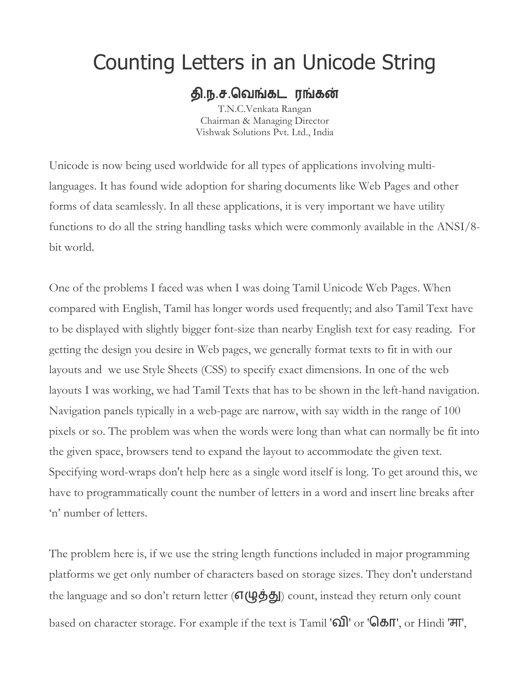# Counting Letters in an Unicode String

#### தி.ந.ச.வெங்கடரங்கன்

T.N.C.Venkata Rangan Chairman & Managing Director Vishwak Solutions Pvt. Ltd., India

Unicode is now being used worldwide for all types of applications involving multilanguages. It has found wide adoption for sharing documents like Web Pages and other forms of data seamlessly. In all these applications, it is very important we have utility functions to do all the string handling tasks which were commonly available in the ANSI/8bit world.

One of the problems I faced was when I was doing Tamil Unicode Web Pages. When compared with English, Tamil has longer words used frequently; and also Tamil Text have to be displayed with slightly bigger font-size than nearby English text for easy reading. For getting the design you desire in Web pages, we generally format texts to fit in with our layouts and we use Style Sheets (CSS) to specify exact dimensions. In one of the web layouts I was working, we had Tamil Texts that has to be shown in the left-hand navigation. Navigation panels typically in a web-page are narrow, with say width in the range of 100 pixels or so. The problem was when the words were long than what can normally be fit into the given space, browsers tend to expand the layout to accommodate the given text. Specifying word-wraps don't help here as a single word itself is long. To get around this, we have to programmatically count the number of letters in a word and insert line breaks after 'n' number of letters.

The problem here is, if we use the string length functions included in major programming platforms we get only number of characters based on storage sizes. They don't understand the language and so don't return letter  $(\sigma(\mu\ddot{\theta}\ddot{\theta}))$  count, instead they return only count based on character storage. For example if the text is Tamil '60 or '680", or Hindi '77",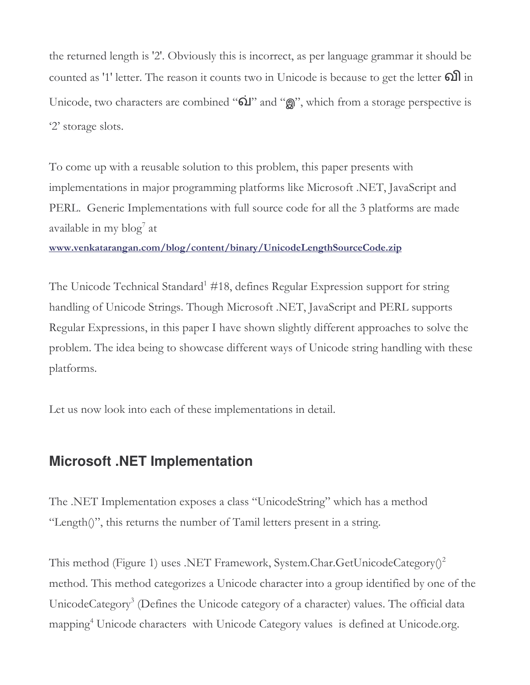the returned length is '2'. Obviously this is incorrect, as per language grammar it should be counted as '1' letter. The reason it counts two in Unicode is because to get the letter **old** in Unicode, two characters are combined "oil" and "on", which from a storage perspective is '2' storage slots.

To come up with a reusable solution to this problem, this paper presents with implementations in major programming platforms like Microsoft .NET, JavaScript and PERL. Generic Implementations with full source code for all the 3 platforms are made available in my blog<sup>7</sup> at

www.venkatarangan.com/blog/content/binary/UnicodeLengthSourceCode.zip

The Unicode Technical Standard<sup>1</sup> #18, defines Regular Expression support for string handling of Unicode Strings. Though Microsoft .NET, JavaScript and PERL supports Regular Expressions, in this paper I have shown slightly different approaches to solve the problem. The idea being to showcase different ways of Unicode string handling with these platforms.

Let us now look into each of these implementations in detail.

#### **Microsoft .NET Implementation**

The .NET Implementation exposes a class "UnicodeString" which has a method "Length()", this returns the number of Tamil letters present in a string.

This method (Figure 1) uses .NET Framework, System.Char.GetUnicodeCategory $()^2$ method. This method categorizes a Unicode character into a group identified by one of the UnicodeCategory<sup>3</sup> (Defines the Unicode category of a character) values. The official data mapping<sup>4</sup> Unicode characters with Unicode Category values is defined at Unicode.org.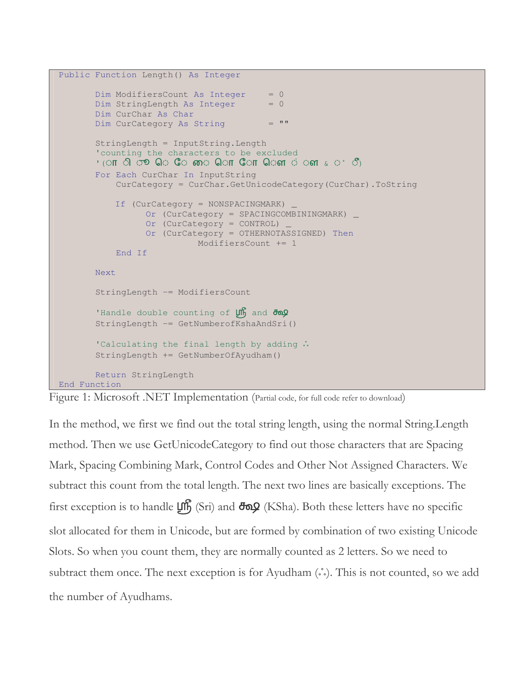```
Public Function Length() As Integer
       Dim ModifiersCount As Integer = 0Dim StringLength As Integer = 0Dim CurChar As Char
      Dim CurCategory As String = " "StringLength = InputString.Length
       'counting the characters to be excluded
       ' (ा ा ी \sigma® ெ ே ை ொ ோ ௌ ௌ ் ௗ \epsilonு ீ) \,For Each CurChar In InputString
           CurCategory = CurChar.GetUnicodeCategory(CurChar).ToString
           If (CurCategory = NONSPACINGMARK) _
                 Or (CurCategory = SPACINGCOMBININGMARK) _
                Or (CurCategory = CONTROL) _
                Or (CurCategory = OTHERNOTASSIGNED) Then
                           ModifiersCount += 1
           End If
       Next
       StringLength -= ModifiersCount
       'Handle double counting of \mathfrak{L}^n and \partial\mathfrak{D}StringLength -= GetNumberofKshaAndSri()
       'Calculating the final length by adding ..
       StringLength += GetNumberOfAyudham()
       Return StringLength
```

```
End Function
```
Figure 1: Microsoft .NET Implementation (Partial code, for full code refer to download)

In the method, we first we find out the total string length, using the normal String.Length method. Then we use GetUnicodeCategory to find out those characters that are Spacing Mark, Spacing Combining Mark, Control Codes and Other Not Assigned Characters. We subtract this count from the total length. The next two lines are basically exceptions. The first exception is to handle  $\mu$ , (Sri) and  $\frac{d}{d}$  (KSha). Both these letters have no specific slot allocated for them in Unicode, but are formed by combination of two existing Unicode Slots. So when you count them, they are normally counted as 2 letters. So we need to subtract them once. The next exception is for Ayudham (...). This is not counted, so we add the number of Ayudhams.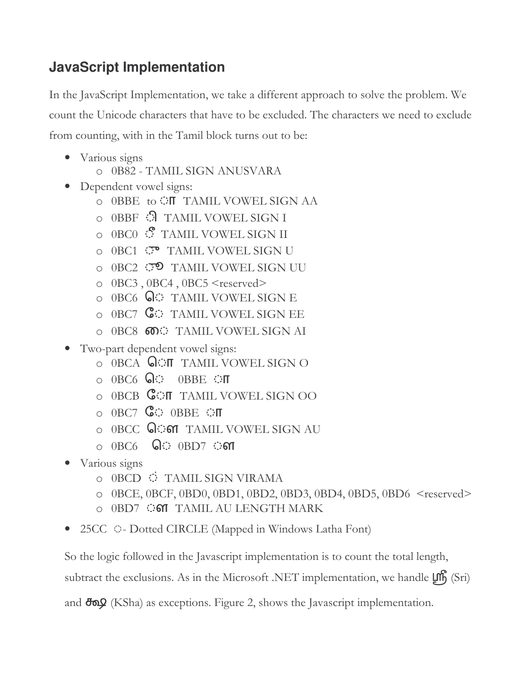## **JavaScript Implementation**

In the JavaScript Implementation, we take a different approach to solve the problem. We count the Unicode characters that have to be excluded. The characters we need to exclude from counting, with in the Tamil block turns out to be:

- Various signs
	- $\circ$  0B82 TAMIL SIGN ANUSVARA
- Dependent vowel signs:
	- O OBBE to  $\circ$  **IT** TAMIL VOWEL SIGN AA
	- o 0BBF © TAMIL VOWEL SIGN I
	- $\circ$  0BC0  $\mathcal{S}$  TAMIL VOWEL SIGN II
	- o 0BC1 
	<sup>(7)</sup> TAMIL VOWEL SIGN U
	- $\circ$  0BC2  $\circ$  TAMIL VOWEL SIGN UU
	- $O$  0BC3, 0BC4, 0BC5 <reserved>
	- $\circ$  0BC6  $\bigcirc$  TAMIL VOWEL SIGN E
	- $\circ$  0BC7  $\mathbb{G}$ : TAMIL VOWEL SIGN EE
	- o 0BC8  $\circledcirc$  TAMIL VOWEL SIGN AI
- Two-part dependent vowel signs:
	- $\circ$  0BCA  $\bigcirc$ T TAMIL VOWEL SIGN O
	- $\circ$  0BC6  $\circ$  0BBE  $\circ$ **T**
	- $\circ$  0BCB  $\mathbb{G}$ ON TAMIL VOWEL SIGN OO
	- $\circ$  0BC7  $\mathbb{G}$  0BBE  $\circ$  T
	- o 0BCC **QCM** TAMIL VOWEL SIGN AU
	- $\circ$   $0BC6$   $Q$   $0BD7$   $O$  61
- Various signs
	- $\circ$  0BCD  $\circ$  TAMIL SIGN VIRAMA
	- $\circ$  0BCE, 0BCF, 0BD0, 0BD1, 0BD2, 0BD3, 0BD4, 0BD5, 0BD6 <reserved>
	- o 0BD7  $\circ$  of TAMIL AU LENGTH MARK
- 25CC O- Dotted CIRCLE (Mapped in Windows Latha Font)

So the logic followed in the Javascript implementation is to count the total length,

subtract the exclusions. As in the Microsoft .NET implementation, we handle  $\mu$ , (Sri)

and  $\bigoplus$  (KSha) as exceptions. Figure 2, shows the Javascript implementation.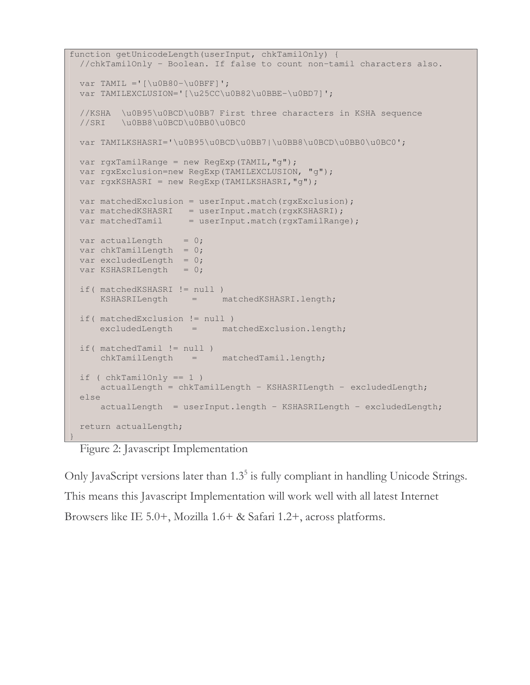```
function getUnicodeLength(userInput, chkTamilOnly) {
 //chkTamilOnly - Boolean. If false to count non-tamil characters also.
 var TAMIL ='\lceil \text{u0B80} - \text{u0BFF} \rceil';
 var TAMILEXCLUSION='[\u25CC\u0B82\u0BBE-\u0BD7]';
 //KSHA \u0B95\u0BCD\u0BB7 First three characters in KSHA sequence
 //SRI \u0BB8\u0BCD\u0BB0\u0BC0
 var TAMILKSHASRI='\u0B95\u0BCD\u0BB7|\u0BB8\u0BCD\u0BB0\u0BC0';
 var rgxTamilRange = new RegExp(TAMIL, "g");
 var rgxExclusion=new RegExp(TAMILEXCLUSION, "g");
 var rgxKSHASRI = new RegExp(TAMILKSHASRI,"g");
 var matchedExclusion = userInput.match(rgxExclusion);
  var matchedKSHASRI = userInput.match(rgxKSHASRI);
  var matchedTamil = userInput.match(rgxTamilRange);
 var actualLength = 0;var chkTamilLength = 0;var excludedLength = 0;
 var KSHASRILength = 0;if( matchedKSHASRI != null )
     KSHASRILength = matchedKSHASRI.length;
 if( matchedExclusion != null )
     excludedLength = matchedExclusion.length;
 if( matchedTamil != null )
     chkTamilLength = matchedTamil.length;
 if ( chkTami1Only == 1 )
     actualLength = chkTamillength - KSHASRILength - excludedlength;else
     actualLength = userInput.length – KSHASRILength - excludedLength;
 return actualLength;
}
```
Figure 2: Javascript Implementation

Only JavaScript versions later than 1.3<sup>5</sup> is fully compliant in handling Unicode Strings. This means this Javascript Implementation will work well with all latest Internet Browsers like IE 5.0+, Mozilla 1.6+ & Safari 1.2+, across platforms.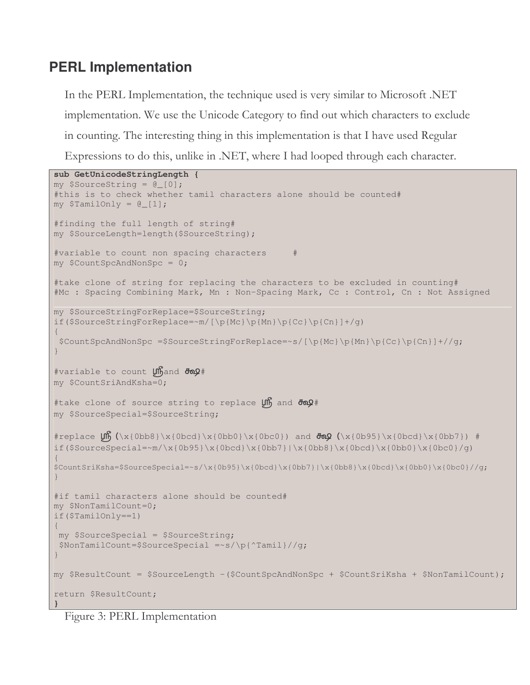### **PERL Implementation**

In the PERL Implementation, the technique used is very similar to Microsoft .NET implementation. We use the Unicode Category to find out which characters to exclude in counting. The interesting thing in this implementation is that I have used Regular Expressions to do this, unlike in .NET, where I had looped through each character.

```
sub GetUnicodeStringLength {
my $SourceString = @_[0];
#this is to check whether tamil characters alone should be counted#
my $TamilOnly = @[1];#finding the full length of string#
my $SourceLength=length($SourceString);
#variable to count non spacing characters #
my $CountSpcAndNonSpc = 0;
#take clone of string for replacing the characters to be excluded in counting#
#Mc : Spacing Combining Mark, Mn : Non-Spacing Mark, Cc : Control, Cn : Not Assigned
my $SourceStringForReplace=$SourceString;
if($SourceStringForReplace=~m/[\p{Mc}\p{Mn}\p{Cc}\p{Cn}]+/g)
{
 $CountSpcAndNonSpc =$SourceStringForReplace=~s/[\p{Mc}\p{Mn}\p{Cc}\p{Cn}]+//g;
}
#variable to count unand \frac{1}{2}my $CountSriAndKsha=0;
#take clone of source string to replace \muh and \sigmamy $SourceSpecial=$SourceString;
#replace \int_{\x}{0bb8}\x{0bcd}\x{0bcd}\x{0bb}\x{0bc0}\x{0bc0} and \frac{1}{\x{0b95}\x{0bcd}\x{0bc7}} #
if($SourceSpecial=~m/\x{0b95}\x{0bcd}\x{0bb7}|\x{0bb8}\x{0bcd}\x{0bb0}\x{0bc0}/q)
{
$CountSriKsha=$SourceSpecial=~s/\x{0b95}\x{0bcd}\x{0bb7}|\x{0bb8}\x{0bcd}\x{0bb0}\x{0bc0}//g;
}
#if tamil characters alone should be counted#
my $NonTamilCount=0;
if($TamilOnly==1)
{
my $SourceSpecial = $SourceString;
$NonTamilCount=$SourceSpecial =~s/\p{^Tamil}//g;
}
my $ResultCount = $SourceLength -($CountSpcAndNonSpc + $CountSriKsha + $NonTamilCount);
return $ResultCount;
}
```
Figure 3: PERL Implementation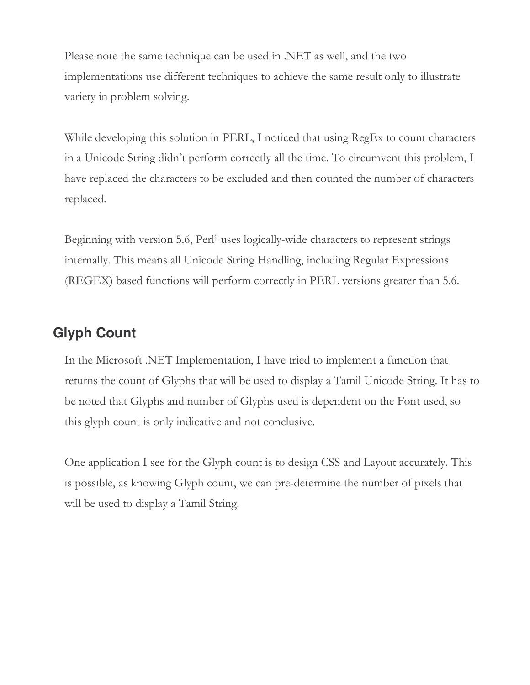Please note the same technique can be used in .NET as well, and the two implementations use different techniques to achieve the same result only to illustrate variety in problem solving.

While developing this solution in PERL, I noticed that using RegEx to count characters in a Unicode String didn't perform correctly all the time. To circumvent this problem, I have replaced the characters to be excluded and then counted the number of characters replaced.

Beginning with version 5.6, Perl<sup>6</sup> uses logically-wide characters to represent strings internally. This means all Unicode String Handling, including Regular Expressions (REGEX) based functions will perform correctly in PERL versions greater than 5.6.

#### **Glyph Count**

In the Microsoft .NET Implementation, I have tried to implement a function that returns the count of Glyphs that will be used to display a Tamil Unicode String. It has to be noted that Glyphs and number of Glyphs used is dependent on the Font used, so this glyph count is only indicative and not conclusive.

One application I see for the Glyph count is to design CSS and Layout accurately. This is possible, as knowing Glyph count, we can pre-determine the number of pixels that will be used to display a Tamil String.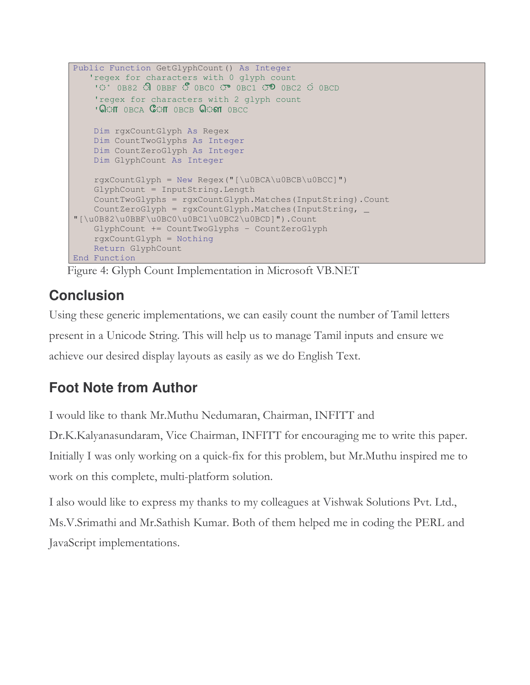```
Public Function GetGlyphCount() As Integer
   'regex for characters with 0 glyph count
    \circ 0B82 \circ 0BBF \circ 0BC0 \circ 0BC1 \circ 0BC2 \circ 0BCD
    'regex for characters with 2 glyph count
    ' OOIT OBCA COIT OBCB COM OBCC
    Dim rgxCountGlyph As Regex
    Dim CountTwoGlyphs As Integer
    Dim CountZeroGlyph As Integer
   Dim GlyphCount As Integer
   rgxCountGlyph = New Regex("[\u0BCA\u0BCB\u0BCC]")
   GlyphCount = InputString.Length
   CountTwoGlyphs = rgxCountGlyph.Matches(InputString).Count
   CountZeroGlyph = rgxCountGlyph.Matches(InputString, _
"[\u0B82\u0BBF\u0BC0\u0BC1\u0BC2\u0BCD]").Count
    GlyphCount += CountTwoGlyphs - CountZeroGlyph
    rgxCountGlyph = Nothing
    Return GlyphCount
End Function
```
Figure 4: Glyph Count Implementation in Microsoft VB.NET

# **Conclusion**

Using these generic implementations, we can easily count the number of Tamil letters present in a Unicode String. This will help us to manage Tamil inputs and ensure we achieve our desired display layouts as easily as we do English Text.

# **Foot Note from Author**

I would like to thank Mr.Muthu Nedumaran, Chairman, INFITT and

Dr.K.Kalyanasundaram, Vice Chairman, INFITT for encouraging me to write this paper. Initially I was only working on a quick-fix for this problem, but Mr.Muthu inspired me to work on this complete, multi-platform solution.

I also would like to express my thanks to my colleagues at Vishwak Solutions Pvt. Ltd., Ms.V.Srimathi and Mr.Sathish Kumar. Both of them helped me in coding the PERL and JavaScript implementations.